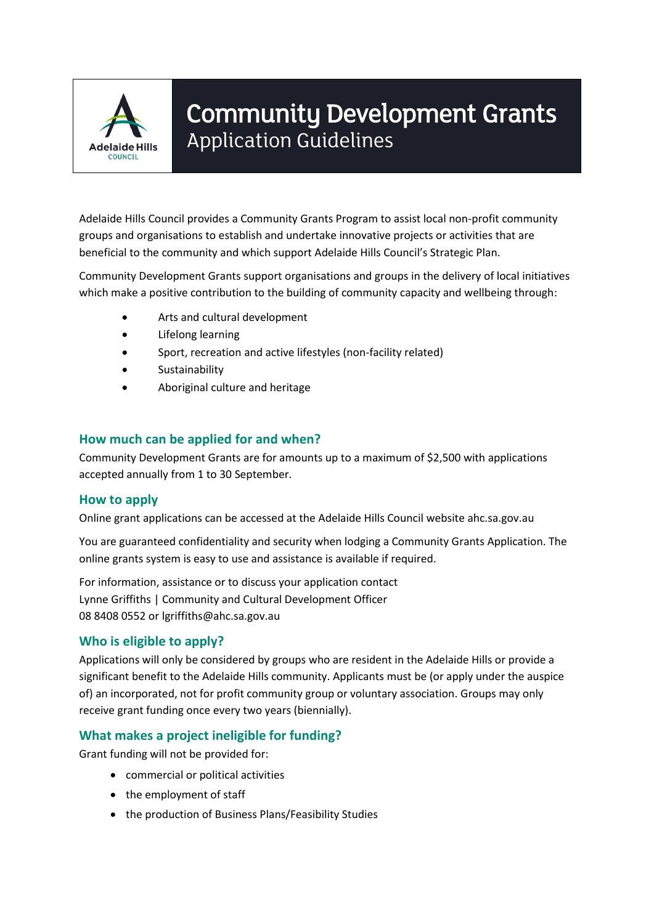

# Community Development Grants Application Guidelines

Adelaide Hills Council provides a Community Grants Program to assist local non-profit community groups and organisations to establish and undertake innovative projects or activities that are beneficial to the community and which support Adelaide Hills Council's Strategic Plan.

Community Development Grants support organisations and groups in the delivery of local initiatives which make a positive contribution to the building of community capacity and wellbeing through:

- Arts and cultural development
- Lifelong learning
- Sport, recreation and active lifestyles (non-facility related)
- Sustainability
- Aboriginal culture and heritage

## **How much can be applied for and when?**

Community Development Grants are for amounts up to a maximum of \$2,500 with applications accepted annually from 1 to 30 September.

## **How to apply**

Online grant applications can be accessed at the Adelaide Hills Council website ahc.sa.gov.au

You are guaranteed confidentiality and security when lodging a Community Grants Application. The online grants system is easy to use and assistance is available if required.

For information, assistance or to discuss your application contact Lynne Griffiths | Community and Cultural Development Officer 08 8408 0552 or lgriffiths@ahc.sa.gov.au

## **Who is eligible to apply?**

Applications will only be considered by groups who are resident in the Adelaide Hills or provide a significant benefit to the Adelaide Hills community. Applicants must be (or apply under the auspice of) an incorporated, not for profit community group or voluntary association. Groups may only receive grant funding once every two years (biennially).

## **What makes a project ineligible for funding?**

Grant funding will not be provided for:

- commercial or political activities
- the employment of staff
- the production of Business Plans/Feasibility Studies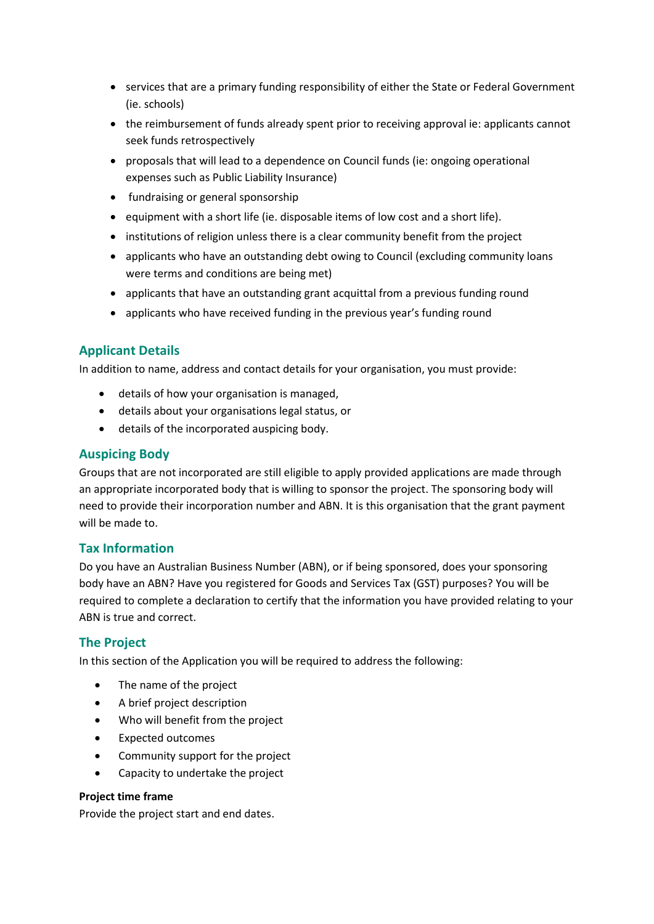- services that are a primary funding responsibility of either the State or Federal Government (ie. schools)
- the reimbursement of funds already spent prior to receiving approval ie: applicants cannot seek funds retrospectively
- proposals that will lead to a dependence on Council funds (ie: ongoing operational expenses such as Public Liability Insurance)
- fundraising or general sponsorship
- equipment with a short life (ie. disposable items of low cost and a short life).
- institutions of religion unless there is a clear community benefit from the project
- applicants who have an outstanding debt owing to Council (excluding community loans were terms and conditions are being met)
- applicants that have an outstanding grant acquittal from a previous funding round
- applicants who have received funding in the previous year's funding round

## **Applicant Details**

In addition to name, address and contact details for your organisation, you must provide:

- details of how your organisation is managed,
- details about your organisations legal status, or
- details of the incorporated auspicing body.

## **Auspicing Body**

Groups that are not incorporated are still eligible to apply provided applications are made through an appropriate incorporated body that is willing to sponsor the project. The sponsoring body will need to provide their incorporation number and ABN. It is this organisation that the grant payment will be made to.

## **Tax Information**

Do you have an Australian Business Number (ABN), or if being sponsored, does your sponsoring body have an ABN? Have you registered for Goods and Services Tax (GST) purposes? You will be required to complete a declaration to certify that the information you have provided relating to your ABN is true and correct.

## **The Project**

In this section of the Application you will be required to address the following:

- The name of the project
- A brief project description
- Who will benefit from the project
- Expected outcomes
- Community support for the project
- Capacity to undertake the project

#### **Project time frame**

Provide the project start and end dates.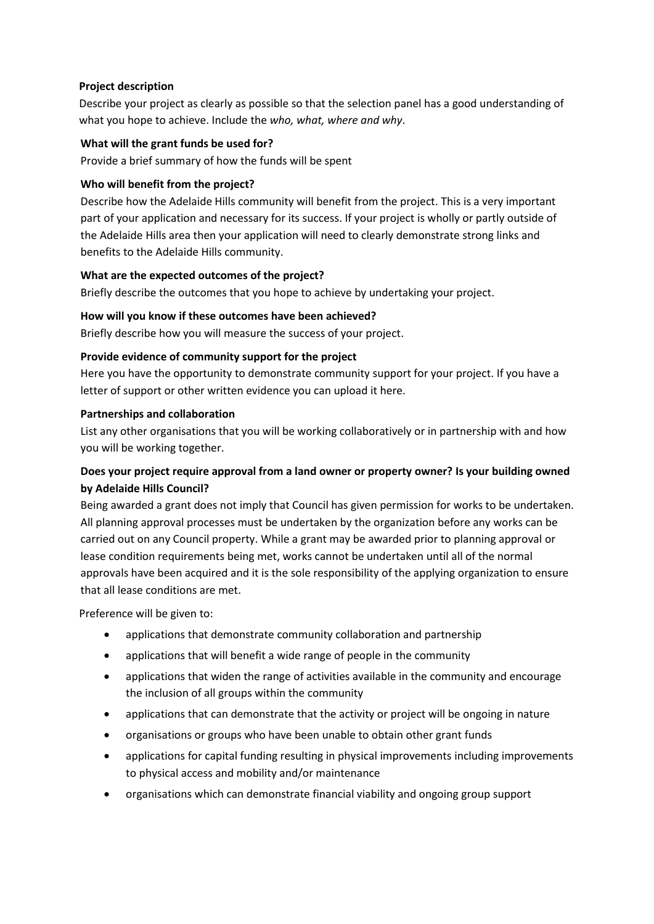#### **Project description**

Describe your project as clearly as possible so that the selection panel has a good understanding of what you hope to achieve. Include the *who, what, where and why*.

#### **What will the grant funds be used for?**

Provide a brief summary of how the funds will be spent

#### **Who will benefit from the project?**

Describe how the Adelaide Hills community will benefit from the project. This is a very important part of your application and necessary for its success. If your project is wholly or partly outside of the Adelaide Hills area then your application will need to clearly demonstrate strong links and benefits to the Adelaide Hills community.

#### **What are the expected outcomes of the project?**

Briefly describe the outcomes that you hope to achieve by undertaking your project.

#### **How will you know if these outcomes have been achieved?**

Briefly describe how you will measure the success of your project.

#### **Provide evidence of community support for the project**

Here you have the opportunity to demonstrate community support for your project. If you have a letter of support or other written evidence you can upload it here.

#### **Partnerships and collaboration**

List any other organisations that you will be working collaboratively or in partnership with and how you will be working together.

## **Does your project require approval from a land owner or property owner? Is your building owned by Adelaide Hills Council?**

Being awarded a grant does not imply that Council has given permission for works to be undertaken. All planning approval processes must be undertaken by the organization before any works can be carried out on any Council property. While a grant may be awarded prior to planning approval or lease condition requirements being met, works cannot be undertaken until all of the normal approvals have been acquired and it is the sole responsibility of the applying organization to ensure that all lease conditions are met.

Preference will be given to:

- applications that demonstrate community collaboration and partnership
- applications that will benefit a wide range of people in the community
- applications that widen the range of activities available in the community and encourage the inclusion of all groups within the community
- applications that can demonstrate that the activity or project will be ongoing in nature
- organisations or groups who have been unable to obtain other grant funds
- applications for capital funding resulting in physical improvements including improvements to physical access and mobility and/or maintenance
- organisations which can demonstrate financial viability and ongoing group support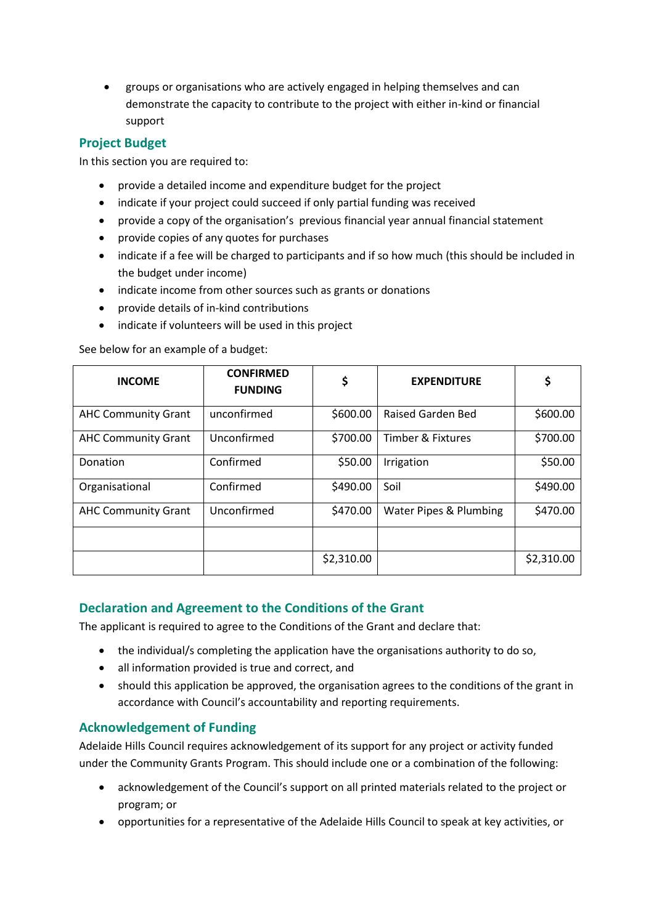groups or organisations who are actively engaged in helping themselves and can demonstrate the capacity to contribute to the project with either in-kind or financial support

## **Project Budget**

In this section you are required to:

- provide a detailed income and expenditure budget for the project
- indicate if your project could succeed if only partial funding was received
- provide a copy of the organisation's previous financial year annual financial statement
- provide copies of any quotes for purchases
- indicate if a fee will be charged to participants and if so how much (this should be included in the budget under income)
- indicate income from other sources such as grants or donations
- provide details of in-kind contributions
- indicate if volunteers will be used in this project

See below for an example of a budget:

| <b>INCOME</b>              | <b>CONFIRMED</b><br><b>FUNDING</b> | \$         | <b>EXPENDITURE</b>           |            |
|----------------------------|------------------------------------|------------|------------------------------|------------|
| <b>AHC Community Grant</b> | unconfirmed                        | \$600.00   | Raised Garden Bed            | \$600.00   |
| <b>AHC Community Grant</b> | Unconfirmed                        | \$700.00   | <b>Timber &amp; Fixtures</b> | \$700.00   |
| Donation                   | Confirmed                          | \$50.00    | Irrigation                   | \$50.00    |
| Organisational             | Confirmed                          | \$490.00   | Soil                         | \$490.00   |
| <b>AHC Community Grant</b> | Unconfirmed                        | \$470.00   | Water Pipes & Plumbing       | \$470.00   |
|                            |                                    |            |                              |            |
|                            |                                    | \$2,310.00 |                              | \$2,310.00 |

## **Declaration and Agreement to the Conditions of the Grant**

The applicant is required to agree to the Conditions of the Grant and declare that:

- the individual/s completing the application have the organisations authority to do so,
- all information provided is true and correct, and
- should this application be approved, the organisation agrees to the conditions of the grant in accordance with Council's accountability and reporting requirements.

#### **Acknowledgement of Funding**

Adelaide Hills Council requires acknowledgement of its support for any project or activity funded under the Community Grants Program. This should include one or a combination of the following:

- acknowledgement of the Council's support on all printed materials related to the project or program; or
- opportunities for a representative of the Adelaide Hills Council to speak at key activities, or